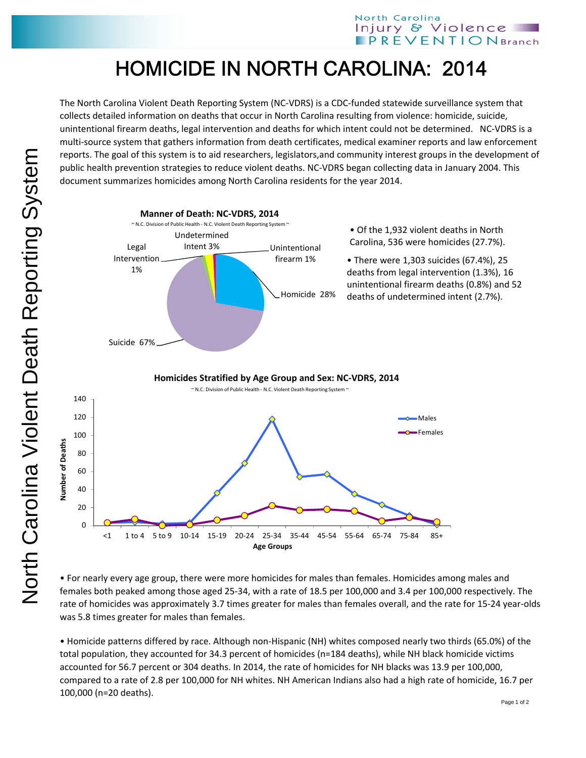## HOMICIDE IN NORTH CAROLINA: 2014

The North Carolina Violent Death Reporting System (NC‐VDRS) is a CDC‐funded statewide surveillance system that collects detailed information on deaths that occur in North Carolina resulting from violence: homicide, suicide, unintentional firearm deaths, legal intervention and deaths for which intent could not be determined. NC‐VDRS is a multi‐source system that gathers information from death certificates, medical examiner reports and law enforcement reports. The goal of this system is to aid researchers, legislators,and community interest groups in the development of public health prevention strategies to reduce violent deaths. NC‐VDRS began collecting data in January 2004. This document summarizes homicides among North Carolina residents for the year 2014.



• For nearly every age group, there were more homicides for males than females. Homicides among males and females both peaked among those aged 25‐34, with a rate of 18.5 per 100,000 and 3.4 per 100,000 respectively. The rate of homicides was approximately 3.7 times greater for males than females overall, and the rate for 15‐24 year‐olds was 5.8 times greater for males than females.

• Homicide patterns differed by race. Although non‐Hispanic (NH) whites composed nearly two thirds (65.0%) of the total population, they accounted for 34.3 percent of homicides (n=184 deaths), while NH black homicide victims accounted for 56.7 percent or 304 deaths. In 2014, the rate of homicides for NH blacks was 13.9 per 100,000, compared to a rate of 2.8 per 100,000 for NH whites. NH American Indians also had a high rate of homicide, 16.7 per 100,000 (n=20 deaths).